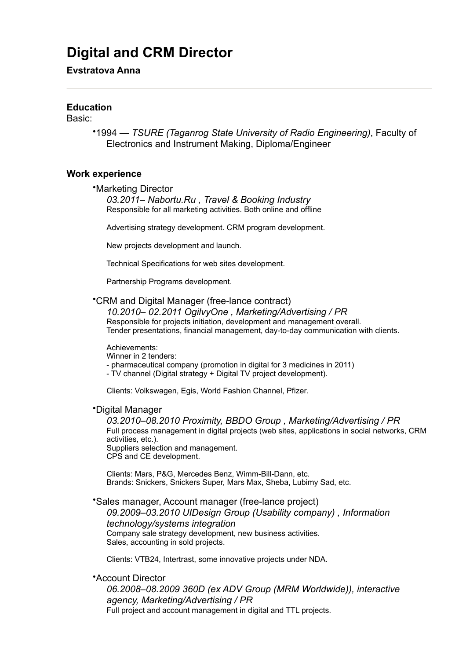# **Digital and CRM Director**

# **Evstratova Anna**

# **Education**

Basic:

•1994 — *TSURE (Taganrog State University of Radio Engineering)*, Faculty of Electronics and Instrument Making, Diploma/Engineer

## **Work experience**

•Marketing Director

*03.2011– Nabortu.Ru , Travel & Booking Industry*  Responsible for all marketing activities. Both online and offline

Advertising strategy development. CRM program development.

New projects development and launch.

Technical Specifications for web sites development.

Partnership Programs development.

•CRM and Digital Manager (free-lance contract)

*10.2010– 02.2011 OgilvyOne , Marketing/Advertising / PR*  Responsible for projects initiation, development and management overall. Tender presentations, financial management, day-to-day communication with clients.

#### Achievements:

Winner in 2 tenders:

- pharmaceutical company (promotion in digital for 3 medicines in 2011)
- TV channel (Digital strategy + Digital TV project development).

Clients: Volkswagen, Egis, World Fashion Channel, Pfizer.

#### •Digital Manager

*03.2010–08.2010 Proximity, BBDO Group , Marketing/Advertising / PR*  Full process management in digital projects (web sites, applications in social networks, CRM activities, etc.). Suppliers selection and management. CPS and CE development.

Clients: Mars, P&G, Mercedes Benz, Wimm-Bill-Dann, etc. Brands: Snickers, Snickers Super, Mars Max, Sheba, Lubimy Sad, etc.

•Sales manager, Account manager (free-lance project) *09.2009–03.2010 UIDesign Group (Usability company) , Information technology/systems integration*  Company sale strategy development, new business activities. Sales, accounting in sold projects.

Clients: VTB24, Intertrast, some innovative projects under NDA.

•Account Director

*06.2008–08.2009 360D (ex ADV Group (MRM Worldwide)), interactive agency, Marketing/Advertising / PR*  Full project and account management in digital and TTL projects.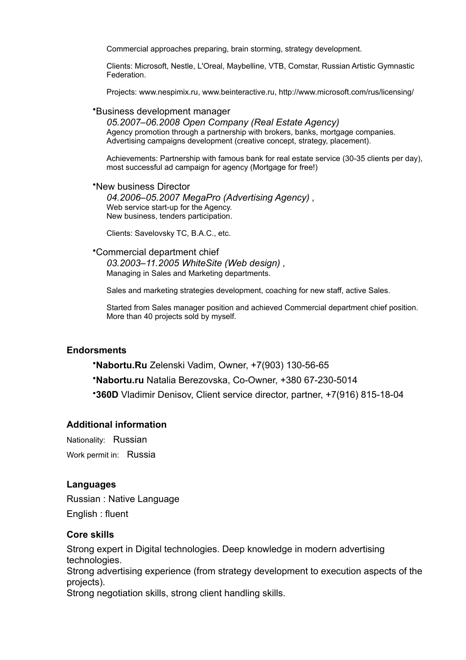Commercial approaches preparing, brain storming, strategy development.

Clients: Microsoft, Nestle, L'Oreal, Maybelline, VTB, Comstar, Russian Artistic Gymnastic Federation.

Projects: www.nespimix.ru, www.beinteractive.ru, http://www.microsoft.com/rus/licensing/

#### •Business development manager

*05.2007–06.2008 Open Company (Real Estate Agency)*  Agency promotion through a partnership with brokers, banks, mortgage companies. Advertising campaigns development (creative concept, strategy, placement).

Achievements: Partnership with famous bank for real estate service (30-35 clients per day), most successful ad campaign for agency (Mortgage for free!)

•New business Director *04.2006–05.2007 MegaPro (Advertising Agency) ,*  Web service start-up for the Agency. New business, tenders participation.

Clients: Savelovsky TC, B.A.C., etc.

•Commercial department chief *03.2003–11.2005 WhiteSite (Web design) ,*  Managing in Sales and Marketing departments.

Sales and marketing strategies development, coaching for new staff, active Sales.

Started from Sales manager position and achieved Commercial department chief position. More than 40 projects sold by myself.

# **Endorsments**

•**Nabortu.Ru** Zelenski Vadim, Owner, +7(903) 130-56-65

•**Nabortu.ru** Natalia Berezovska, Co-Owner, +380 67-230-5014

•**360D** Vladimir Denisov, Client service director, partner, +7(916) 815-18-04

### **Additional information**

Nationality: Russian Work permit in: Russia

## **Languages**

Russian : Native Language English : fluent

## **Core skills**

Strong expert in Digital technologies. Deep knowledge in modern advertising technologies. Strong advertising experience (from strategy development to execution aspects of the projects). Strong negotiation skills, strong client handling skills.